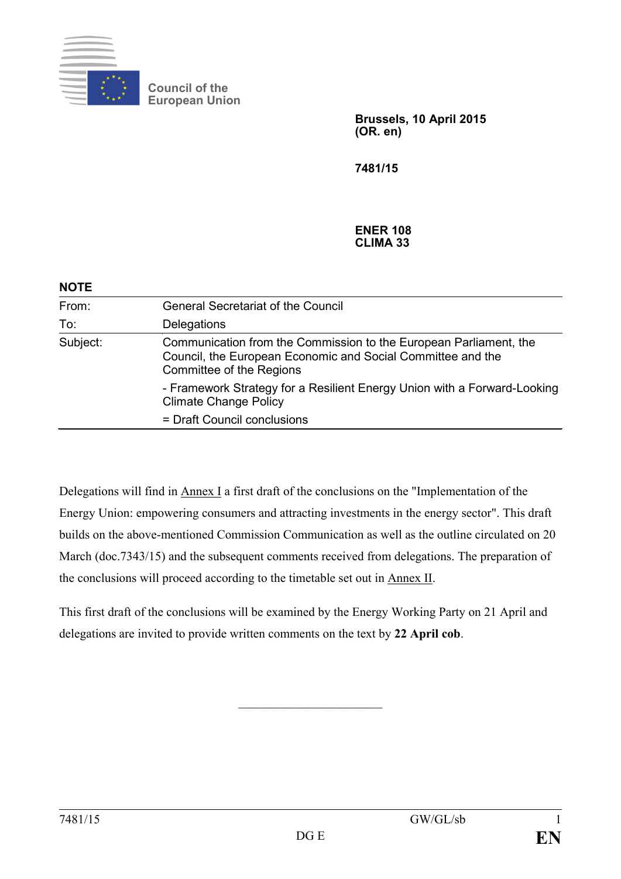

**Council of the European Union**

> **Brussels, 10 April 2015 (OR. en)**

**7481/15**

#### **ENER 108 CLIMA 33**

| <b>NOTE</b> |                                                                                                                                                              |
|-------------|--------------------------------------------------------------------------------------------------------------------------------------------------------------|
| From:       | <b>General Secretariat of the Council</b>                                                                                                                    |
| To:         | Delegations                                                                                                                                                  |
| Subject:    | Communication from the Commission to the European Parliament, the<br>Council, the European Economic and Social Committee and the<br>Committee of the Regions |
|             | - Framework Strategy for a Resilient Energy Union with a Forward-Looking<br><b>Climate Change Policy</b>                                                     |
|             | = Draft Council conclusions                                                                                                                                  |

Delegations will find in Annex I a first draft of the conclusions on the "Implementation of the Energy Union: empowering consumers and attracting investments in the energy sector". This draft builds on the above-mentioned Commission Communication as well as the outline circulated on 20 March (doc.7343/15) and the subsequent comments received from delegations. The preparation of the conclusions will proceed according to the timetable set out in Annex II.

This first draft of the conclusions will be examined by the Energy Working Party on 21 April and delegations are invited to provide written comments on the text by **22 April cob**.

 $\overline{\phantom{a}}$  , which is a set of the set of the set of the set of the set of the set of the set of the set of the set of the set of the set of the set of the set of the set of the set of the set of the set of the set of th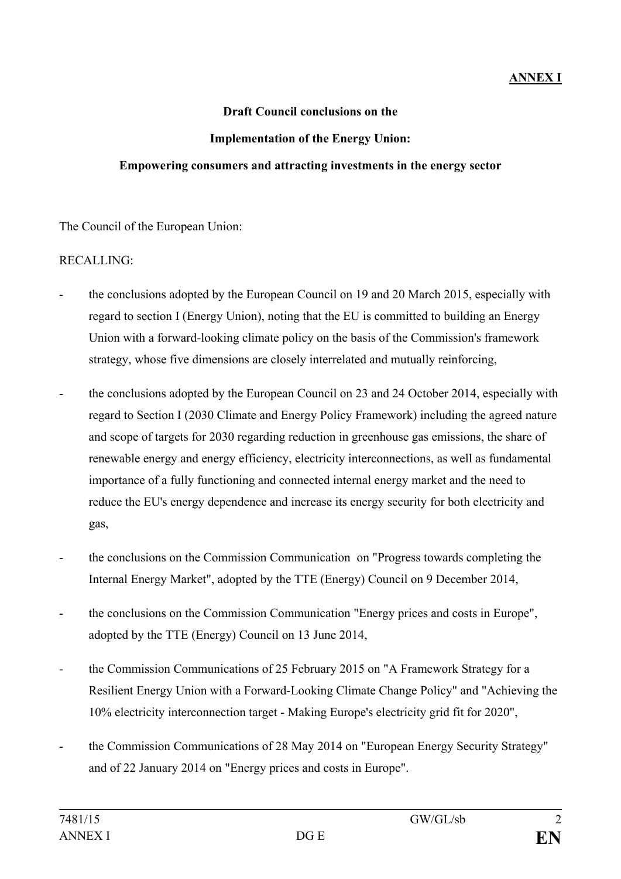## **ANNEX I**

#### **Draft Council conclusions on the**

#### **Implementation of the Energy Union:**

#### **Empowering consumers and attracting investments in the energy sector**

The Council of the European Union:

### RECALLING:

- the conclusions adopted by the European Council on 19 and 20 March 2015, especially with regard to section I (Energy Union), noting that the EU is committed to building an Energy Union with a forward-looking climate policy on the basis of the Commission's framework strategy, whose five dimensions are closely interrelated and mutually reinforcing,
- the conclusions adopted by the European Council on 23 and 24 October 2014, especially with regard to Section I (2030 Climate and Energy Policy Framework) including the agreed nature and scope of targets for 2030 regarding reduction in greenhouse gas emissions, the share of renewable energy and energy efficiency, electricity interconnections, as well as fundamental importance of a fully functioning and connected internal energy market and the need to reduce the EU's energy dependence and increase its energy security for both electricity and gas,
- the conclusions on the Commission Communication on "Progress towards completing the Internal Energy Market", adopted by the TTE (Energy) Council on 9 December 2014,
- the conclusions on the Commission Communication "Energy prices and costs in Europe", adopted by the TTE (Energy) Council on 13 June 2014,
- the Commission Communications of 25 February 2015 on "A Framework Strategy for a Resilient Energy Union with a Forward-Looking Climate Change Policy" and "Achieving the 10% electricity interconnection target - Making Europe's electricity grid fit for 2020",
- the Commission Communications of 28 May 2014 on "European Energy Security Strategy" and of 22 January 2014 on "Energy prices and costs in Europe".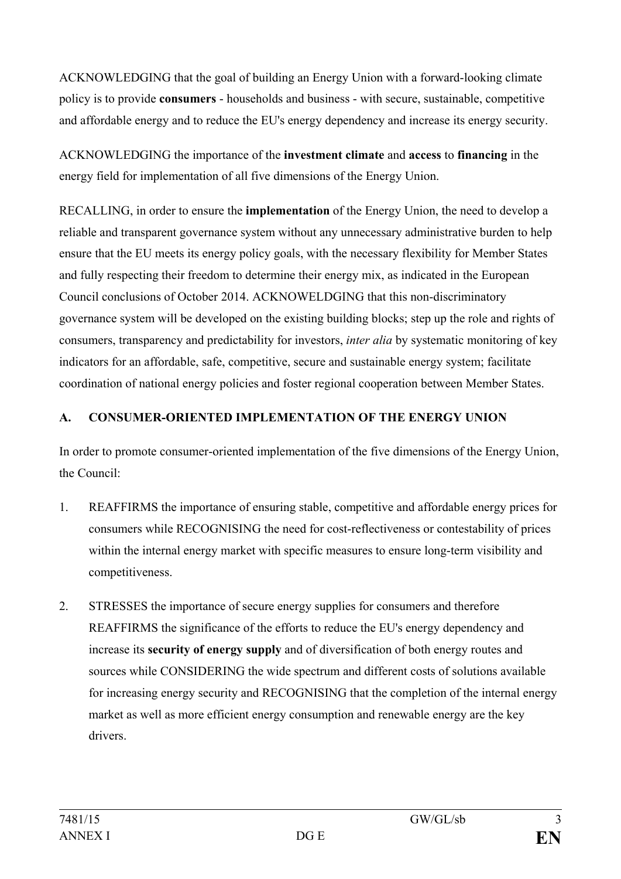ACKNOWLEDGING that the goal of building an Energy Union with a forward-looking climate policy is to provide **consumers** - households and business - with secure, sustainable, competitive and affordable energy and to reduce the EU's energy dependency and increase its energy security.

ACKNOWLEDGING the importance of the **investment climate** and **access** to **financing** in the energy field for implementation of all five dimensions of the Energy Union.

RECALLING, in order to ensure the **implementation** of the Energy Union, the need to develop a reliable and transparent governance system without any unnecessary administrative burden to help ensure that the EU meets its energy policy goals, with the necessary flexibility for Member States and fully respecting their freedom to determine their energy mix, as indicated in the European Council conclusions of October 2014. ACKNOWELDGING that this non-discriminatory governance system will be developed on the existing building blocks; step up the role and rights of consumers, transparency and predictability for investors, *inter alia* by systematic monitoring of key indicators for an affordable, safe, competitive, secure and sustainable energy system; facilitate coordination of national energy policies and foster regional cooperation between Member States.

# **A. CONSUMER-ORIENTED IMPLEMENTATION OF THE ENERGY UNION**

In order to promote consumer-oriented implementation of the five dimensions of the Energy Union, the Council:

- 1. REAFFIRMS the importance of ensuring stable, competitive and affordable energy prices for consumers while RECOGNISING the need for cost-reflectiveness or contestability of prices within the internal energy market with specific measures to ensure long-term visibility and competitiveness.
- 2. STRESSES the importance of secure energy supplies for consumers and therefore REAFFIRMS the significance of the efforts to reduce the EU's energy dependency and increase its **security of energy supply** and of diversification of both energy routes and sources while CONSIDERING the wide spectrum and different costs of solutions available for increasing energy security and RECOGNISING that the completion of the internal energy market as well as more efficient energy consumption and renewable energy are the key drivers.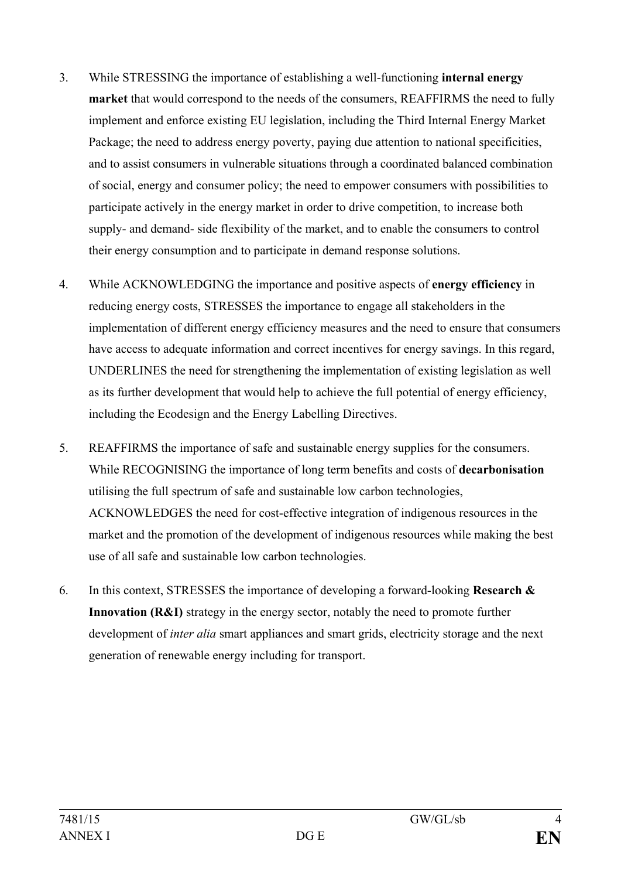- 3. While STRESSING the importance of establishing a well-functioning **internal energy market** that would correspond to the needs of the consumers, REAFFIRMS the need to fully implement and enforce existing EU legislation, including the Third Internal Energy Market Package; the need to address energy poverty, paying due attention to national specificities, and to assist consumers in vulnerable situations through a coordinated balanced combination of social, energy and consumer policy; the need to empower consumers with possibilities to participate actively in the energy market in order to drive competition, to increase both supply- and demand- side flexibility of the market, and to enable the consumers to control their energy consumption and to participate in demand response solutions.
- 4. While ACKNOWLEDGING the importance and positive aspects of **energy efficiency** in reducing energy costs, STRESSES the importance to engage all stakeholders in the implementation of different energy efficiency measures and the need to ensure that consumers have access to adequate information and correct incentives for energy savings. In this regard, UNDERLINES the need for strengthening the implementation of existing legislation as well as its further development that would help to achieve the full potential of energy efficiency, including the Ecodesign and the Energy Labelling Directives.
- 5. REAFFIRMS the importance of safe and sustainable energy supplies for the consumers. While RECOGNISING the importance of long term benefits and costs of **decarbonisation** utilising the full spectrum of safe and sustainable low carbon technologies, ACKNOWLEDGES the need for cost-effective integration of indigenous resources in the market and the promotion of the development of indigenous resources while making the best use of all safe and sustainable low carbon technologies.
- 6. In this context, STRESSES the importance of developing a forward-looking **Research & Innovation (R&I)** strategy in the energy sector, notably the need to promote further development of *inter alia* smart appliances and smart grids, electricity storage and the next generation of renewable energy including for transport.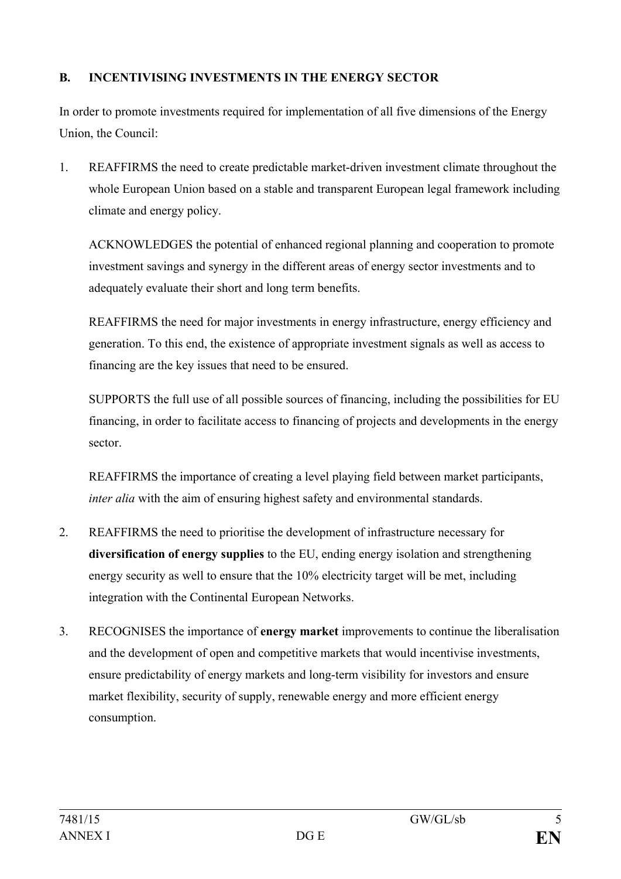# **B. INCENTIVISING INVESTMENTS IN THE ENERGY SECTOR**

In order to promote investments required for implementation of all five dimensions of the Energy Union, the Council:

1. REAFFIRMS the need to create predictable market-driven investment climate throughout the whole European Union based on a stable and transparent European legal framework including climate and energy policy.

ACKNOWLEDGES the potential of enhanced regional planning and cooperation to promote investment savings and synergy in the different areas of energy sector investments and to adequately evaluate their short and long term benefits.

REAFFIRMS the need for major investments in energy infrastructure, energy efficiency and generation. To this end, the existence of appropriate investment signals as well as access to financing are the key issues that need to be ensured.

SUPPORTS the full use of all possible sources of financing, including the possibilities for EU financing, in order to facilitate access to financing of projects and developments in the energy sector.

REAFFIRMS the importance of creating a level playing field between market participants, *inter alia* with the aim of ensuring highest safety and environmental standards.

- 2. REAFFIRMS the need to prioritise the development of infrastructure necessary for **diversification of energy supplies** to the EU, ending energy isolation and strengthening energy security as well to ensure that the 10% electricity target will be met, including integration with the Continental European Networks.
- 3. RECOGNISES the importance of **energy market** improvements to continue the liberalisation and the development of open and competitive markets that would incentivise investments, ensure predictability of energy markets and long-term visibility for investors and ensure market flexibility, security of supply, renewable energy and more efficient energy consumption.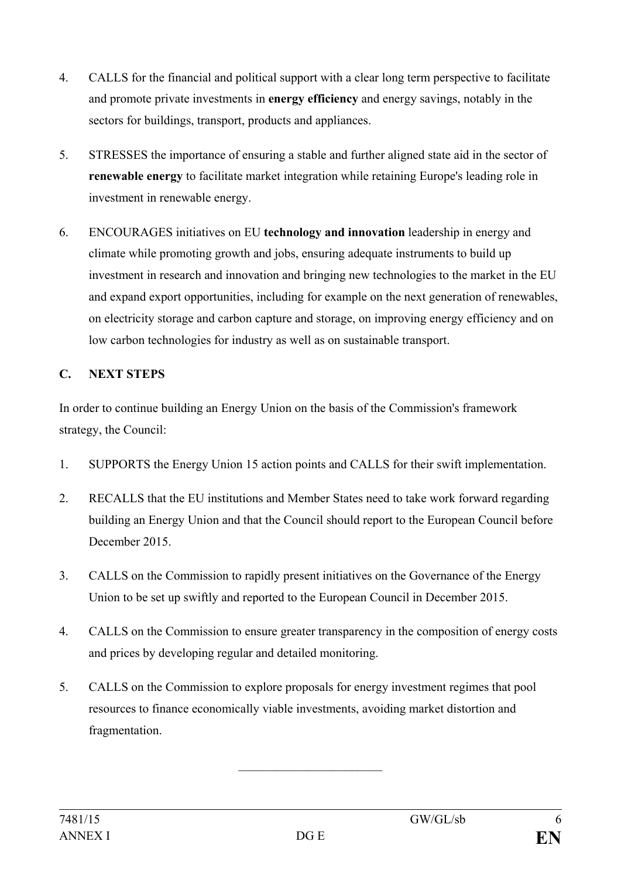- 4. CALLS for the financial and political support with a clear long term perspective to facilitate and promote private investments in **energy efficiency** and energy savings, notably in the sectors for buildings, transport, products and appliances.
- 5. STRESSES the importance of ensuring a stable and further aligned state aid in the sector of **renewable energy** to facilitate market integration while retaining Europe's leading role in investment in renewable energy.
- 6. ENCOURAGES initiatives on EU **technology and innovation** leadership in energy and climate while promoting growth and jobs, ensuring adequate instruments to build up investment in research and innovation and bringing new technologies to the market in the EU and expand export opportunities, including for example on the next generation of renewables, on electricity storage and carbon capture and storage, on improving energy efficiency and on low carbon technologies for industry as well as on sustainable transport.

## **C. NEXT STEPS**

In order to continue building an Energy Union on the basis of the Commission's framework strategy, the Council:

- 1. SUPPORTS the Energy Union 15 action points and CALLS for their swift implementation.
- 2. RECALLS that the EU institutions and Member States need to take work forward regarding building an Energy Union and that the Council should report to the European Council before December 2015.
- 3. CALLS on the Commission to rapidly present initiatives on the Governance of the Energy Union to be set up swiftly and reported to the European Council in December 2015.
- 4. CALLS on the Commission to ensure greater transparency in the composition of energy costs and prices by developing regular and detailed monitoring.
- 5. CALLS on the Commission to explore proposals for energy investment regimes that pool resources to finance economically viable investments, avoiding market distortion and fragmentation.

 $\overline{\phantom{a}}$  , which is a set of the set of the set of the set of the set of the set of the set of the set of the set of the set of the set of the set of the set of the set of the set of the set of the set of the set of th